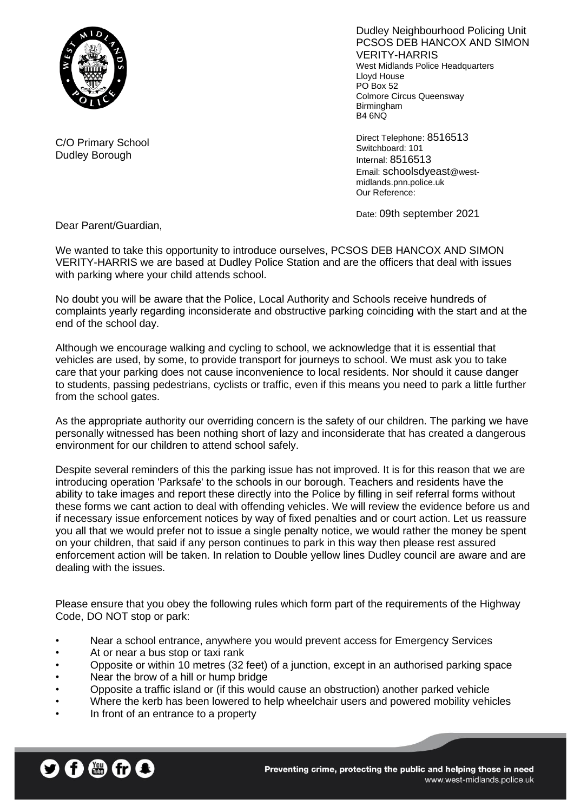

Dudley Neighbourhood Policing Unit PCSOS DEB HANCOX AND SIMON VERITY-HARRIS West Midlands Police Headquarters Lloyd House PO Box 52 Colmore Circus Queensway **Birmingham** B4 6NQ

Direct Telephone: 8516513 Switchboard: 101 Internal: 8516513 Email: schoolsdyeast@westmidlands.pnn.police.uk Our Reference:

Date: 09th september 2021

Dear Parent/Guardian,

C/O Primary School Dudley Borough

We wanted to take this opportunity to introduce ourselves, PCSOS DEB HANCOX AND SIMON VERITY-HARRIS we are based at Dudley Police Station and are the officers that deal with issues with parking where your child attends school.

No doubt you will be aware that the Police, Local Authority and Schools receive hundreds of complaints yearly regarding inconsiderate and obstructive parking coinciding with the start and at the end of the school day.

Although we encourage walking and cycling to school, we acknowledge that it is essential that vehicles are used, by some, to provide transport for journeys to school. We must ask you to take care that your parking does not cause inconvenience to local residents. Nor should it cause danger to students, passing pedestrians, cyclists or traffic, even if this means you need to park a little further from the school gates.

As the appropriate authority our overriding concern is the safety of our children. The parking we have personally witnessed has been nothing short of lazy and inconsiderate that has created a dangerous environment for our children to attend school safely.

Despite several reminders of this the parking issue has not improved. It is for this reason that we are introducing operation 'Parksafe' to the schools in our borough. Teachers and residents have the ability to take images and report these directly into the Police by filling in seif referral forms without these forms we cant action to deal with offending vehicles. We will review the evidence before us and if necessary issue enforcement notices by way of fixed penalties and or court action. Let us reassure you all that we would prefer not to issue a single penalty notice, we would rather the money be spent on your children, that said if any person continues to park in this way then please rest assured enforcement action will be taken. In relation to Double yellow lines Dudley council are aware and are dealing with the issues.

Please ensure that you obey the following rules which form part of the requirements of the Highway Code, DO NOT stop or park:

- Near a school entrance, anywhere you would prevent access for Emergency Services
- At or near a bus stop or taxi rank
- Opposite or within 10 metres (32 feet) of a junction, except in an authorised parking space
- Near the brow of a hill or hump bridge
- Opposite a traffic island or (if this would cause an obstruction) another parked vehicle
- Where the kerb has been lowered to help wheelchair users and powered mobility vehicles
- In front of an entrance to a property